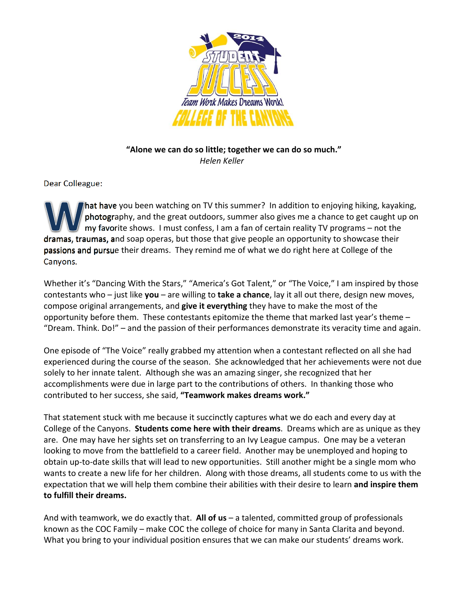

### **"Alone we can do so little; together we can do so much."** *Helen Keller*

Dear Colleague:

 hat have you been watching on TV this summer? In addition to enjoying hiking, kayaking, photography, and the great outdoors, summer also gives me a chance to get caught up on my favorite shows. I must confess, I am a fan of certain reality TV programs – not the dramas, traumas, and soap operas, but those that give people an opportunity to showcase their passions and pursue their dreams. They remind me of what we do right here at College of the Canyons.

 Whether it's "Dancing With the Stars," "America's Got Talent," or "The Voice," I am inspired by those  contestants who – just like **you** – are willing to **take a chance**, lay it all out there, design new moves,  compose original arrangements, and **give it everything** they have to make the most of the opportunity before them. These contestants epitomize the theme that marked last year's theme – "Dream. Think. Do!" – and the passion of their performances demonstrate its veracity time and again.

 One episode of "The Voice" really grabbed my attention when a contestant reflected on all she had experienced during the course of the season. She acknowledged that her achievements were not due solely to her innate talent. Although she was an amazing singer, she recognized that her accomplishments were due in large part to the contributions of others. In thanking those who  contributed to her success, she said, **"Teamwork makes dreams work."**

 That statement stuck with me because it succinctly captures what we do each and every day at  College of the Canyons. **Students come here with their dreams**. Dreams which are as unique as they are. One may have her sights set on transferring to an Ivy League campus. One may be a veteran looking to move from the battlefield to a career field. Another may be unemployed and hoping to obtain up‐to‐date skills that will lead to new opportunities. Still another might be a single mom who wants to create a new life for her children. Along with those dreams, all students come to us with the  expectation that we will help them combine their abilities with their desire to learn **and inspire them to fulfill their dreams.**

  And with teamwork, we do exactly that. **All of us** – a talented, committed group of professionals known as the COC Family – make COC the college of choice for many in Santa Clarita and beyond. What you bring to your individual position ensures that we can make our students' dreams work.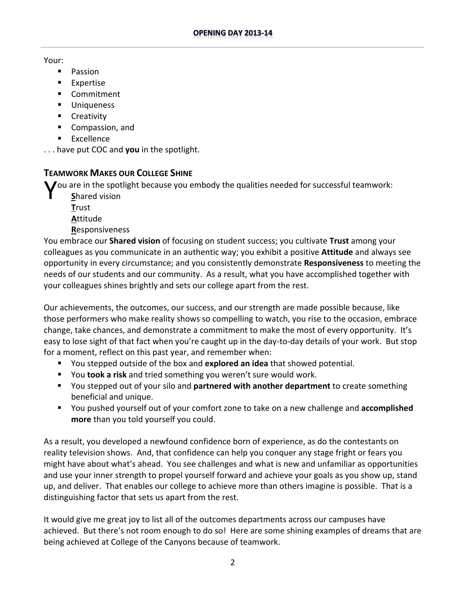#### Your:

- **Passion**
- **Expertise**
- **E** Commitment
- **Uniqueness**
- **Creativity**
- **Compassion, and**
- **Excellence**

. . . have put COC and **you** in the spotlight.

# **TEAMWORK MAKES OUR COLLEGE SHINE**

You are in the spotlight because you embody the qualities needed for successful teamwork:<br>Shared vision

- **S**hared vision
- **T**rust
- **A**ttitude
- **R**esponsiveness

  You embrace our **Shared vision** of focusing on student success; you cultivate **Trust** among your colleagues as you communicate in an authentic way; you exhibit a positive **Attitude** and always see opportunity in every circumstance; and you consistently demonstrate **Responsiveness** to meeting the needs of our students and our community. As a result, what you have accomplished together with your colleagues shines brightly and sets our college apart from the rest.

 Our achievements, the outcomes, our success, and our strength are made possible because, like those performers who make reality shows so compelling to watch, you rise to the occasion, embrace change, take chances, and demonstrate a commitment to make the most of every opportunity. It's easy to lose sight of that fact when you're caught up in the day‐to‐day details of your work. But stop for a moment, reflect on this past year, and remember when:

- You stepped outside of the box and **explored an idea** that showed potential.
- You **took a risk** and tried something you weren't sure would work.
- You stepped out of your silo and **partnered with another department** to create something beneficial and unique.
- You pushed yourself out of your comfort zone to take on a new challenge and **accomplished more** than you told yourself you could.

 As a result, you developed a newfound confidence born of experience, as do the contestants on reality television shows. And, that confidence can help you conquer any stage fright or fears you might have about what's ahead. You see challenges and what is new and unfamiliar as opportunities and use your inner strength to propel yourself forward and achieve your goals as you show up, stand up, and deliver. That enables our college to achieve more than others imagine is possible. That is a distinguishing factor that sets us apart from the rest.

 It would give me great joy to list all of the outcomes departments across our campuses have achieved. But there's not room enough to do so! Here are some shining examples of dreams that are being achieved at College of the Canyons because of teamwork.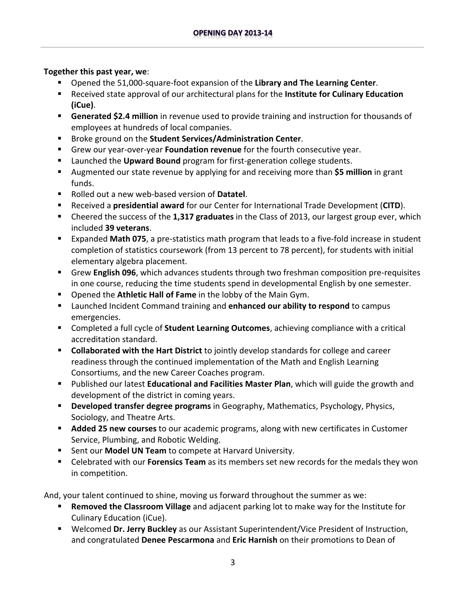### **Together this past year, we**:

- Opened the 51,000-square-foot expansion of the Library and The Learning Center.
- Received state approval of our architectural plans for the **Institute for Culinary Education (iCue)**.
- **Generated \$2.4 million** in revenue used to provide training and instruction for thousands of employees at hundreds of local companies.
- Broke ground on the **Student Services/Administration Center**.
- Grew our year-over-year **Foundation revenue** for the fourth consecutive year.
- Launched the Upward Bound program for first-generation college students.
- Augmented our state revenue by applying for and receiving more than **\$5 million** in grant funds.
- Rolled out a new web-based version of **Datatel**.
- Received a **presidential award** for our Center for International Trade Development (**CITD**).
- Cheered the success of the **1,317 graduates** in the Class of 2013, our largest group ever, which included **39 veterans**.
- Expanded Math 075, a pre-statistics math program that leads to a five-fold increase in student completion of statistics coursework (from 13 percent to 78 percent), for students with initial elementary algebra placement.
- Grew English 096, which advances students through two freshman composition pre-requisites in one course, reducing the time students spend in developmental English by one semester.
- Opened the **Athletic Hall of Fame** in the lobby of the Main Gym.
- Launched Incident Command training and **enhanced our ability to respond** to campus emergencies.
- Completed a full cycle of **Student Learning Outcomes**, achieving compliance with a critical accreditation standard.
- **Collaborated with the Hart District** to jointly develop standards for college and career readiness through the continued implementation of the Math and English Learning Consortiums, and the new Career Coaches program.
- Published our latest **Educational and Facilities Master Plan**, which will guide the growth and development of the district in coming years.
- **Developed transfer degree programs** in Geography, Mathematics, Psychology, Physics, Sociology, and Theatre Arts.
- **Added 25 new courses** to our academic programs, along with new certificates in Customer Service, Plumbing, and Robotic Welding.
- Sent our **Model UN Team** to compete at Harvard University.
- Celebrated with our **Forensics Team** as its members set new records for the medals they won in competition.

And, your talent continued to shine, moving us forward throughout the summer as we:

- **Removed the Classroom Village** and adjacent parking lot to make way for the Institute for Culinary Education (iCue).
- Welcomed **Dr. Jerry Buckley** as our Assistant Superintendent/Vice President of Instruction, and congratulated **Denee Pescarmona** and **Eric Harnish** on their promotions to Dean of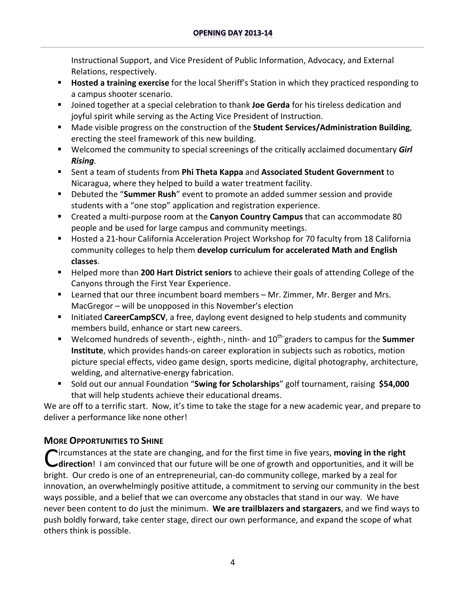Instructional Support, and Vice President of Public Information, Advocacy, and External Relations, respectively.

- **Hosted a training exercise** for the local Sheriff's Station in which they practiced responding to a campus shooter scenario.
- Joined together at a special celebration to thank **Joe Gerda** for his tireless dedication and joyful spirit while serving as the Acting Vice President of Instruction.
- Made visible progress on the construction of the **Student Services/Administration Building**, erecting the steel framework of this new building.
- Welcomed the community to special screenings of the critically acclaimed documentary *Girl Rising.*
- Sent a team of students from **Phi Theta Kappa** and **Associated Student Government** to Nicaragua, where they helped to build a water treatment facility.
- Debuted the "**Summer Rush**" event to promote an added summer session and provide students with a "one stop" application and registration experience.
- Created a multi-purpose room at the **Canyon Country Campus** that can accommodate 80 people and be used for large campus and community meetings.
- Hosted a 21-hour California Acceleration Project Workshop for 70 faculty from 18 California  community colleges to help them **develop curriculum for accelerated Math and English classes**.
- Helped more than **200 Hart District seniors** to achieve their goals of attending College of the Canyons through the First Year Experience.
- **E** Learned that our three incumbent board members Mr. Zimmer, Mr. Berger and Mrs. MacGregor – will be unopposed in this November's election
- **Initiated CareerCampSCV**, a free, daylong event designed to help students and community members build, enhance or start new careers.
- Welcomed hundreds of seventh-, eighth-, ninth- and 10<sup>th-</sup>graders to campus for the **Summer Institute**, which provides hands‐on career exploration in subjects such as robotics, motion picture special effects, video game design, sports medicine, digital photography, architecture, welding, and alternative‐energy fabrication.
- Sold out our annual Foundation "**Swing for Scholarships**" golf tournament, raising **\$54,000** that will help students achieve their educational dreams.

 We are off to a terrific start. Now, it's time to take the stage for a new academic year, and prepare to deliver a performance like none other!

# **MORE OPPORTUNITIES TO SHINE**

**C**ircumstances at the state are changing, and for the first time in five years, **moving in the right**<br> **C**direction! I am convinced that our future will be one of growth and opportunities, and it will be ircumstances at the state are changing, and for the first time in five years, **moving in the right** bright. Our credo is one of an entrepreneurial, can-do community college, marked by a zeal for innovation, an overwhelmingly positive attitude, a commitment to serving our community in the best ways possible, and a belief that we can overcome any obstacles that stand in our way. We have never been content to do just the minimum. **We are trailblazers and stargazers**, and we find ways to push boldly forward, take center stage, direct our own performance, and expand the scope of what others think is possible.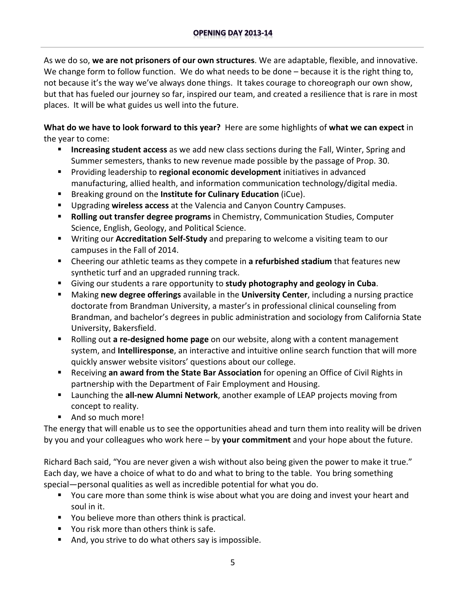As we do so, **we are not prisoners of our own structures**. We are adaptable, flexible, and innovative. We change form to follow function. We do what needs to be done – because it is the right thing to, not because it's the way we've always done things. It takes courage to choreograph our own show, but that has fueled our journey so far, inspired our team, and created a resilience that is rare in most places. It will be what guides us well into the future.

**What do we have to look forward to this year?** Here are some highlights of **what we can expect** in the year to come:

- **E** Increasing student access as we add new class sections during the Fall, Winter, Spring and Summer semesters, thanks to new revenue made possible by the passage of Prop. 30.
- Providing leadership to **regional economic development** initiatives in advanced manufacturing, allied health, and information communication technology/digital media.
- Breaking ground on the **Institute for Culinary Education** (iCue).
- Upgrading **wireless access** at the Valencia and Canyon Country Campuses.
- **Rolling out transfer degree programs** in Chemistry, Communication Studies, Computer Science, English, Geology, and Political Science.
- Writing our Accreditation Self-Study and preparing to welcome a visiting team to our campuses in the Fall of 2014.
- Cheering our athletic teams as they compete in **a refurbished stadium** that features new synthetic turf and an upgraded running track.
- Giving our students a rare opportunity to **study photography and geology in Cuba**.
- Making **new degree offerings** available in the **University Center**, including a nursing practice doctorate from Brandman University, a master's in professional clinical counseling from Brandman, and bachelor's degrees in public administration and sociology from California State University, Bakersfield.
- Rolling out a re-designed home page on our website, along with a content management system, and **Intelliresponse**, an interactive and intuitive online search function that will more quickly answer website visitors' questions about our college.
- Receiving **an award from the State Bar Association** for opening an Office of Civil Rights in partnership with the Department of Fair Employment and Housing.
- Launching the all-new Alumni Network, another example of LEAP projects moving from concept to reality.
- And so much more!

 The energy that will enable us to see the opportunities ahead and turn them into reality will be driven by you and your colleagues who work here – by **your commitment** and your hope about the future.

 Richard Bach said, "You are never given a wish without also being given the power to make it true." Each day, we have a choice of what to do and what to bring to the table. You bring something special—personal qualities as well as incredible potential for what you do.

- **Theoral Step and Team** Some think is wise about what you are doing and invest your heart and soul in it.
- **P** You believe more than others think is practical.
- **Theory 11 You risk more than others think is safe.**
- And, you strive to do what others say is impossible.